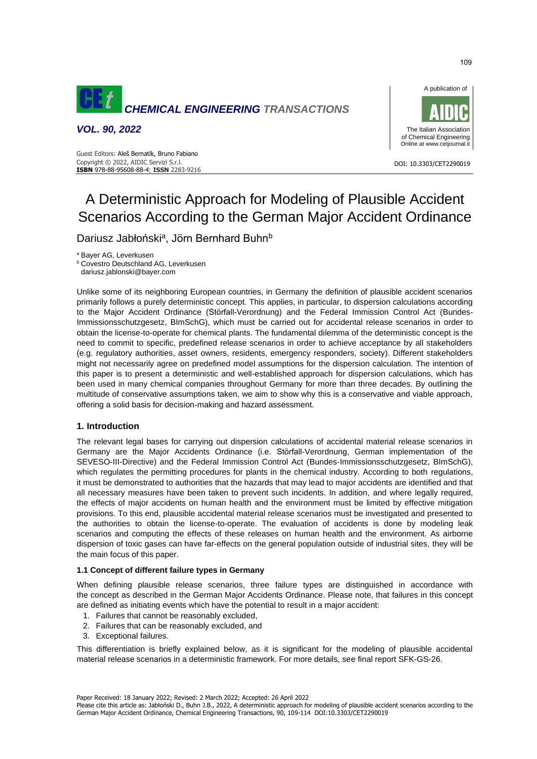

*VOL. 90, 2022*





DOI: 10.3303/CET2290019

# A Deterministic Approach for Modeling of Plausible Accident Scenarios According to the German Major Accident Ordinance

Dariusz Jabłoński<sup>a</sup>, Jörn Bernhard Buhn<sup>b</sup>

<sup>a</sup> Bayer AG, Leverkusen

**b** Covestro Deutschland AG, Leverkusen

dariusz.jablonski@bayer.com

Unlike some of its neighboring European countries, in Germany the definition of plausible accident scenarios primarily follows a purely deterministic concept. This applies, in particular, to dispersion calculations according to the Major Accident Ordinance (Störfall-Verordnung) and the Federal Immission Control Act (Bundes-Immissionsschutzgesetz, BImSchG), which must be carried out for accidental release scenarios in order to obtain the license-to-operate for chemical plants. The fundamental dilemma of the deterministic concept is the need to commit to specific, predefined release scenarios in order to achieve acceptance by all stakeholders (e.g. regulatory authorities, asset owners, residents, emergency responders, society). Different stakeholders might not necessarily agree on predefined model assumptions for the dispersion calculation. The intention of this paper is to present a deterministic and well-established approach for dispersion calculations, which has been used in many chemical companies throughout Germany for more than three decades. By outlining the multitude of conservative assumptions taken, we aim to show why this is a conservative and viable approach, offering a solid basis for decision-making and hazard assessment.

### **1. Introduction**

The relevant legal bases for carrying out dispersion calculations of accidental material release scenarios in Germany are the Major Accidents Ordinance (i.e. Störfall-Verordnung, German implementation of the SEVESO-III-Directive) and the Federal Immission Control Act (Bundes-Immissionsschutzgesetz, BImSchG), which regulates the permitting procedures for plants in the chemical industry. According to both regulations, it must be demonstrated to authorities that the hazards that may lead to major accidents are identified and that all necessary measures have been taken to prevent such incidents. In addition, and where legally required, the effects of major accidents on human health and the environment must be limited by effective mitigation provisions. To this end, plausible accidental material release scenarios must be investigated and presented to the authorities to obtain the license-to-operate. The evaluation of accidents is done by modeling leak scenarios and computing the effects of these releases on human health and the environment. As airborne dispersion of toxic gases can have far-effects on the general population outside of industrial sites, they will be the main focus of this paper.

### **1.1 Concept of different failure types in Germany**

When defining plausible release scenarios, three failure types are distinguished in accordance with the concept as described in the German Major Accidents Ordinance. Please note, that failures in this concept are defined as initiating events which have the potential to result in a major accident:

- 1. Failures that cannot be reasonably excluded,
- 2. Failures that can be reasonably excluded, and
- 3. Exceptional failures.

This differentiation is briefly explained below, as it is significant for the modeling of plausible accidental material release scenarios in a deterministic framework. For more details, see final report SFK-GS-26.

Paper Received: 18 January 2022; Revised: 2 March 2022; Accepted: 26 April 2022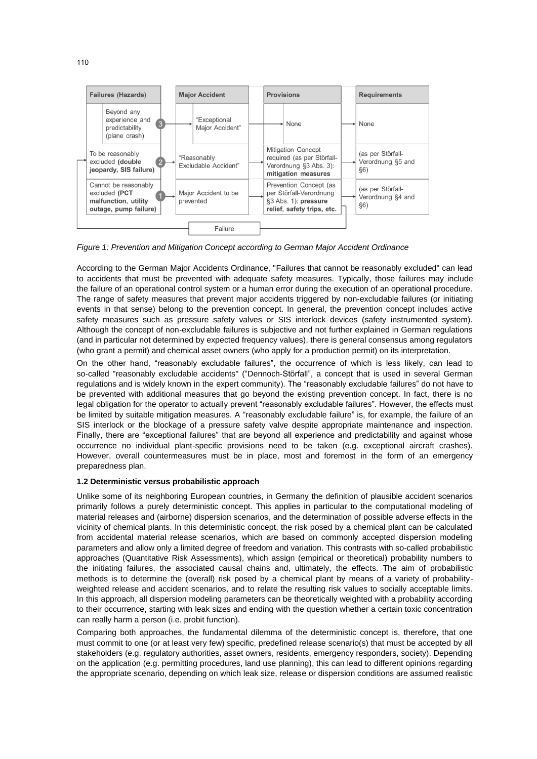

*Figure 1: Prevention and Mitigation Concept according to German Major Accident Ordinance*

According to the German Major Accidents Ordinance, "Failures that cannot be reasonably excluded" can lead to accidents that must be prevented with adequate safety measures. Typically, those failures may include the failure of an operational control system or a human error during the execution of an operational procedure. The range of safety measures that prevent major accidents triggered by non-excludable failures (or initiating events in that sense) belong to the prevention concept. In general, the prevention concept includes active safety measures such as pressure safety valves or SIS interlock devices (safety instrumented system). Although the concept of non-excludable failures is subjective and not further explained in German regulations (and in particular not determined by expected frequency values), there is general consensus among regulators (who grant a permit) and chemical asset owners (who apply for a production permit) on its interpretation.

On the other hand, "reasonably excludable failures", the occurrence of which is less likely, can lead to so-called "reasonably excludable accidents" ("Dennoch-Störfall", a concept that is used in several German regulations and is widely known in the expert community). The "reasonably excludable failures" do not have to be prevented with additional measures that go beyond the existing prevention concept. In fact, there is no legal obligation for the operator to actually prevent "reasonably excludable failures". However, the effects must be limited by suitable mitigation measures. A "reasonably excludable failure" is, for example, the failure of an SIS interlock or the blockage of a pressure safety valve despite appropriate maintenance and inspection. Finally, there are "exceptional failures" that are beyond all experience and predictability and against whose occurrence no individual plant-specific provisions need to be taken (e.g. exceptional aircraft crashes). However, overall countermeasures must be in place, most and foremost in the form of an emergency preparedness plan.

## **1.2 Deterministic versus probabilistic approach**

Unlike some of its neighboring European countries, in Germany the definition of plausible accident scenarios primarily follows a purely deterministic concept. This applies in particular to the computational modeling of material releases and (airborne) dispersion scenarios, and the determination of possible adverse effects in the vicinity of chemical plants. In this deterministic concept, the risk posed by a chemical plant can be calculated from accidental material release scenarios, which are based on commonly accepted dispersion modeling parameters and allow only a limited degree of freedom and variation. This contrasts with so-called probabilistic approaches (Quantitative Risk Assessments), which assign (empirical or theoretical) probability numbers to the initiating failures, the associated causal chains and, ultimately, the effects. The aim of probabilistic methods is to determine the (overall) risk posed by a chemical plant by means of a variety of probabilityweighted release and accident scenarios, and to relate the resulting risk values to socially acceptable limits. In this approach, all dispersion modeling parameters can be theoretically weighted with a probability according to their occurrence, starting with leak sizes and ending with the question whether a certain toxic concentration can really harm a person (i.e. probit function).

Comparing both approaches, the fundamental dilemma of the deterministic concept is, therefore, that one must commit to one (or at least very few) specific, predefined release scenario(s) that must be accepted by all stakeholders (e.g. regulatory authorities, asset owners, residents, emergency responders, society). Depending on the application (e.g. permitting procedures, land use planning), this can lead to different opinions regarding the appropriate scenario, depending on which leak size, release or dispersion conditions are assumed realistic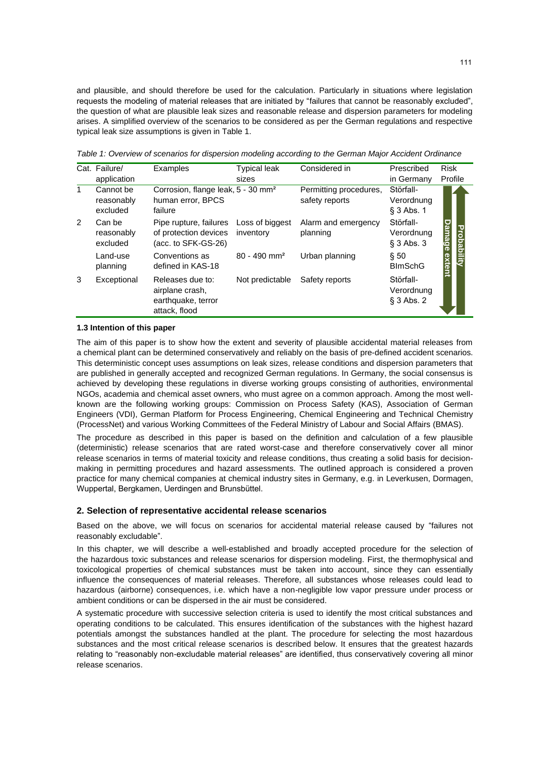and plausible, and should therefore be used for the calculation. Particularly in situations where legislation requests the modeling of material releases that are initiated by "failures that cannot be reasonably excluded", the question of what are plausible leak sizes and reasonable release and dispersion parameters for modeling arises. A simplified overview of the scenarios to be considered as per the German regulations and respective typical leak size assumptions is given in Table 1.

Cat. Failure/ Examples Typical leak Considered in Prescribed Risk application sizes in Germany Profile 1 Cannot be Corrosion, flange leak, 5 - 30 mm<sup>2</sup> Störfall-Permitting procedures, reasonably human error, BPCS safety reports Verordnung excluded failure § 3 Abs. 1 Pipe rupture, failures Störfall-2 Can be Loss of biggest Alarm and emergency **Damage extent** Damage exten **Probability Probability** of protection devices reasonably inventory planning Verordnung excluded (acc. to SFK-GS-26) § 3 Abs. 3 Land-use Conventions as 80 - 490 mm² Urban planning § 50 planning defined in KAS-18 BImSchG 3 Exceptional Releases due to: Not predictable Safety reports Störfallairplane crash, Verordnung earthquake, terror § 3 Abs. 2 attack, flood

*Table 1: Overview of scenarios for dispersion modeling according to the German Major Accident Ordinance*

#### **1.3 Intention of this paper**

The aim of this paper is to show how the extent and severity of plausible accidental material releases from a chemical plant can be determined conservatively and reliably on the basis of pre-defined accident scenarios. This deterministic concept uses assumptions on leak sizes, release conditions and dispersion parameters that are published in generally accepted and recognized German regulations. In Germany, the social consensus is achieved by developing these regulations in diverse working groups consisting of authorities, environmental NGOs, academia and chemical asset owners, who must agree on a common approach. Among the most wellknown are the following working groups: Commission on Process Safety (KAS), Association of German Engineers (VDI), German Platform for Process Engineering, Chemical Engineering and Technical Chemistry (ProcessNet) and various Working Committees of the Federal Ministry of Labour and Social Affairs (BMAS).

The procedure as described in this paper is based on the definition and calculation of a few plausible (deterministic) release scenarios that are rated worst-case and therefore conservatively cover all minor release scenarios in terms of material toxicity and release conditions, thus creating a solid basis for decisionmaking in permitting procedures and hazard assessments. The outlined approach is considered a proven practice for many chemical companies at chemical industry sites in Germany, e.g. in Leverkusen, Dormagen, Wuppertal, Bergkamen, Uerdingen and Brunsbüttel.

### **2. Selection of representative accidental release scenarios**

Based on the above, we will focus on scenarios for accidental material release caused by "failures not reasonably excludable".

In this chapter, we will describe a well-established and broadly accepted procedure for the selection of the hazardous toxic substances and release scenarios for dispersion modeling. First, the thermophysical and toxicological properties of chemical substances must be taken into account, since they can essentially influence the consequences of material releases. Therefore, all substances whose releases could lead to hazardous (airborne) consequences, i.e. which have a non-negligible low vapor pressure under process or ambient conditions or can be dispersed in the air must be considered.

A systematic procedure with successive selection criteria is used to identify the most critical substances and operating conditions to be calculated. This ensures identification of the substances with the highest hazard potentials amongst the substances handled at the plant. The procedure for selecting the most hazardous substances and the most critical release scenarios is described below. It ensures that the greatest hazards relating to "reasonably non-excludable material releases" are identified, thus conservatively covering all minor release scenarios.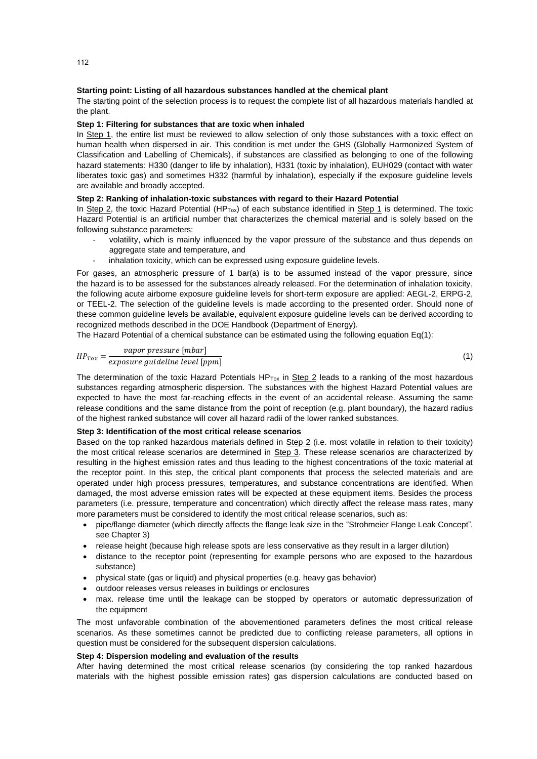### **Starting point: Listing of all hazardous substances handled at the chemical plant**

The starting point of the selection process is to request the complete list of all hazardous materials handled at the plant.

## **Step 1: Filtering for substances that are toxic when inhaled**

In Step 1, the entire list must be reviewed to allow selection of only those substances with a toxic effect on human health when dispersed in air. This condition is met under the GHS (Globally Harmonized System of Classification and Labelling of Chemicals), if substances are classified as belonging to one of the following hazard statements: H330 (danger to life by inhalation), H331 (toxic by inhalation), EUH029 (contact with water liberates toxic gas) and sometimes H332 (harmful by inhalation), especially if the exposure guideline levels are available and broadly accepted.

#### **Step 2: Ranking of inhalation-toxic substances with regard to their Hazard Potential**

In Step 2, the toxic Hazard Potential (HP<sub>Tox</sub>) of each substance identified in Step 1 is determined. The toxic Hazard Potential is an artificial number that characterizes the chemical material and is solely based on the following substance parameters:

- volatility, which is mainly influenced by the vapor pressure of the substance and thus depends on aggregate state and temperature, and
- inhalation toxicity, which can be expressed using exposure guideline levels.

For gases, an atmospheric pressure of 1 bar(a) is to be assumed instead of the vapor pressure, since the hazard is to be assessed for the substances already released. For the determination of inhalation toxicity, the following acute airborne exposure guideline levels for short-term exposure are applied: AEGL-2, ERPG-2, or TEEL-2. The selection of the guideline levels is made according to the presented order. Should none of these common guideline levels be available, equivalent exposure guideline levels can be derived according to recognized methods described in the DOE Handbook (Department of Energy).

The Hazard Potential of a chemical substance can be estimated using the following equation Eq(1):

$$
HP_{Tox} = \frac{vapor \ pressure \ [mbar]}{expasure \ guideline \ [lppm]}
$$
 (1)

The determination of the toxic Hazard Potentials  $HP_{Tox}$  in Step 2 leads to a ranking of the most hazardous substances regarding atmospheric dispersion. The substances with the highest Hazard Potential values are expected to have the most far-reaching effects in the event of an accidental release. Assuming the same release conditions and the same distance from the point of reception (e.g. plant boundary), the hazard radius of the highest ranked substance will cover all hazard radii of the lower ranked substances.

#### **Step 3: Identification of the most critical release scenarios**

Based on the top ranked hazardous materials defined in Step 2 (i.e. most volatile in relation to their toxicity) the most critical release scenarios are determined in Step 3. These release scenarios are characterized by resulting in the highest emission rates and thus leading to the highest concentrations of the toxic material at the receptor point. In this step, the critical plant components that process the selected materials and are operated under high process pressures, temperatures, and substance concentrations are identified. When damaged, the most adverse emission rates will be expected at these equipment items. Besides the process parameters (i.e. pressure, temperature and concentration) which directly affect the release mass rates, many more parameters must be considered to identify the most critical release scenarios, such as:

- pipe/flange diameter (which directly affects the flange leak size in the "Strohmeier Flange Leak Concept", see Chapter 3)
- release height (because high release spots are less conservative as they result in a larger dilution)
- distance to the receptor point (representing for example persons who are exposed to the hazardous substance)
- physical state (gas or liquid) and physical properties (e.g. heavy gas behavior)
- outdoor releases versus releases in buildings or enclosures
- max. release time until the leakage can be stopped by operators or automatic depressurization of the equipment

The most unfavorable combination of the abovementioned parameters defines the most critical release scenarios. As these sometimes cannot be predicted due to conflicting release parameters, all options in question must be considered for the subsequent dispersion calculations.

# **Step 4: Dispersion modeling and evaluation of the results**

After having determined the most critical release scenarios (by considering the top ranked hazardous materials with the highest possible emission rates) gas dispersion calculations are conducted based on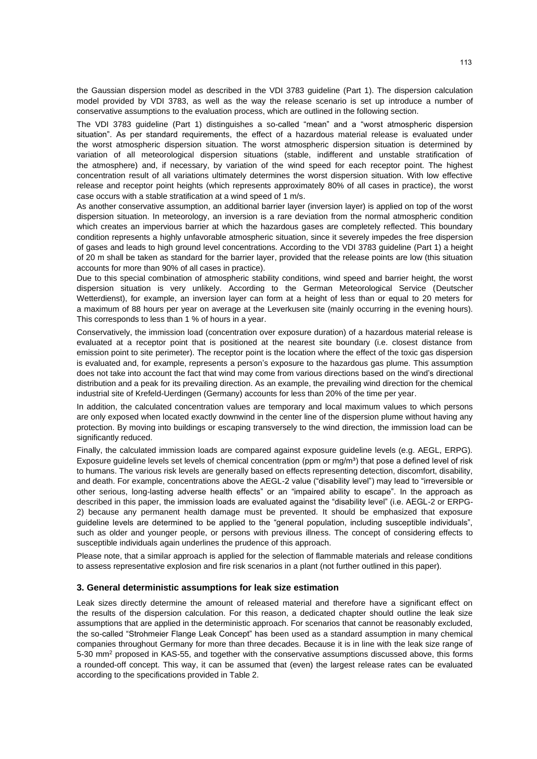the Gaussian dispersion model as described in the VDI 3783 guideline (Part 1). The dispersion calculation model provided by VDI 3783, as well as the way the release scenario is set up introduce a number of conservative assumptions to the evaluation process, which are outlined in the following section.

The VDI 3783 guideline (Part 1) distinguishes a so-called "mean" and a "worst atmospheric dispersion situation". As per standard requirements, the effect of a hazardous material release is evaluated under the worst atmospheric dispersion situation. The worst atmospheric dispersion situation is determined by variation of all meteorological dispersion situations (stable, indifferent and unstable stratification of the atmosphere) and, if necessary, by variation of the wind speed for each receptor point. The highest concentration result of all variations ultimately determines the worst dispersion situation. With low effective release and receptor point heights (which represents approximately 80% of all cases in practice), the worst case occurs with a stable stratification at a wind speed of 1 m/s.

As another conservative assumption, an additional barrier layer (inversion layer) is applied on top of the worst dispersion situation. In meteorology, an inversion is a rare deviation from the normal atmospheric condition which creates an impervious barrier at which the hazardous gases are completely reflected. This boundary condition represents a highly unfavorable atmospheric situation, since it severely impedes the free dispersion of gases and leads to high ground level concentrations. According to the VDI 3783 guideline (Part 1) a height of 20 m shall be taken as standard for the barrier layer, provided that the release points are low (this situation accounts for more than 90% of all cases in practice).

Due to this special combination of atmospheric stability conditions, wind speed and barrier height, the worst dispersion situation is very unlikely. According to the German Meteorological Service (Deutscher Wetterdienst), for example, an inversion layer can form at a height of less than or equal to 20 meters for a maximum of 88 hours per year on average at the Leverkusen site (mainly occurring in the evening hours). This corresponds to less than 1 % of hours in a year.

Conservatively, the immission load (concentration over exposure duration) of a hazardous material release is evaluated at a receptor point that is positioned at the nearest site boundary (i.e. closest distance from emission point to site perimeter). The receptor point is the location where the effect of the toxic gas dispersion is evaluated and, for example, represents a person's exposure to the hazardous gas plume. This assumption does not take into account the fact that wind may come from various directions based on the wind's directional distribution and a peak for its prevailing direction. As an example, the prevailing wind direction for the chemical industrial site of Krefeld-Uerdingen (Germany) accounts for less than 20% of the time per year.

In addition, the calculated concentration values are temporary and local maximum values to which persons are only exposed when located exactly downwind in the center line of the dispersion plume without having any protection. By moving into buildings or escaping transversely to the wind direction, the immission load can be significantly reduced.

Finally, the calculated immission loads are compared against exposure guideline levels (e.g. AEGL, ERPG). Exposure quideline levels set levels of chemical concentration (ppm or  $mq/m<sup>3</sup>$ ) that pose a defined level of risk to humans. The various risk levels are generally based on effects representing detection, discomfort, disability, and death. For example, concentrations above the AEGL-2 value ("disability level") may lead to "irreversible or other serious, long-lasting adverse health effects" or an "impaired ability to escape". In the approach as described in this paper, the immission loads are evaluated against the "disability level" (i.e. AEGL-2 or ERPG-2) because any permanent health damage must be prevented. It should be emphasized that exposure guideline levels are determined to be applied to the "general population, including susceptible individuals", such as older and younger people, or persons with previous illness. The concept of considering effects to susceptible individuals again underlines the prudence of this approach.

Please note, that a similar approach is applied for the selection of flammable materials and release conditions to assess representative explosion and fire risk scenarios in a plant (not further outlined in this paper).

# **3. General deterministic assumptions for leak size estimation**

Leak sizes directly determine the amount of released material and therefore have a significant effect on the results of the dispersion calculation. For this reason, a dedicated chapter should outline the leak size assumptions that are applied in the deterministic approach. For scenarios that cannot be reasonably excluded, the so-called "Strohmeier Flange Leak Concept" has been used as a standard assumption in many chemical companies throughout Germany for more than three decades. Because it is in line with the leak size range of 5-30 mm<sup>2</sup> proposed in KAS-55, and together with the conservative assumptions discussed above, this forms a rounded-off concept. This way, it can be assumed that (even) the largest release rates can be evaluated according to the specifications provided in Table 2.